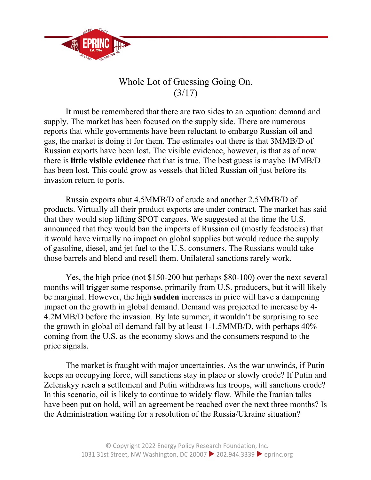

## Whole Lot of Guessing Going On. (3/17)

It must be remembered that there are two sides to an equation: demand and supply. The market has been focused on the supply side. There are numerous reports that while governments have been reluctant to embargo Russian oil and gas, the market is doing it for them. The estimates out there is that 3MMB/D of Russian exports have been lost. The visible evidence, however, is that as of now there is **little visible evidence** that that is true. The best guess is maybe 1MMB/D has been lost. This could grow as vessels that lifted Russian oil just before its invasion return to ports.

Russia exports abut 4.5MMB/D of crude and another 2.5MMB/D of products. Virtually all their product exports are under contract. The market has said that they would stop lifting SPOT cargoes. We suggested at the time the U.S. announced that they would ban the imports of Russian oil (mostly feedstocks) that it would have virtually no impact on global supplies but would reduce the supply of gasoline, diesel, and jet fuel to the U.S. consumers. The Russians would take those barrels and blend and resell them. Unilateral sanctions rarely work.

Yes, the high price (not \$150-200 but perhaps \$80-100) over the next several months will trigger some response, primarily from U.S. producers, but it will likely be marginal. However, the high **sudden** increases in price will have a dampening impact on the growth in global demand. Demand was projected to increase by 4- 4.2MMB/D before the invasion. By late summer, it wouldn't be surprising to see the growth in global oil demand fall by at least 1-1.5MMB/D, with perhaps 40% coming from the U.S. as the economy slows and the consumers respond to the price signals.

The market is fraught with major uncertainties. As the war unwinds, if Putin keeps an occupying force, will sanctions stay in place or slowly erode? If Putin and Zelenskyy reach a settlement and Putin withdraws his troops, will sanctions erode? In this scenario, oil is likely to continue to widely flow. While the Iranian talks have been put on hold, will an agreement be reached over the next three months? Is the Administration waiting for a resolution of the Russia/Ukraine situation?